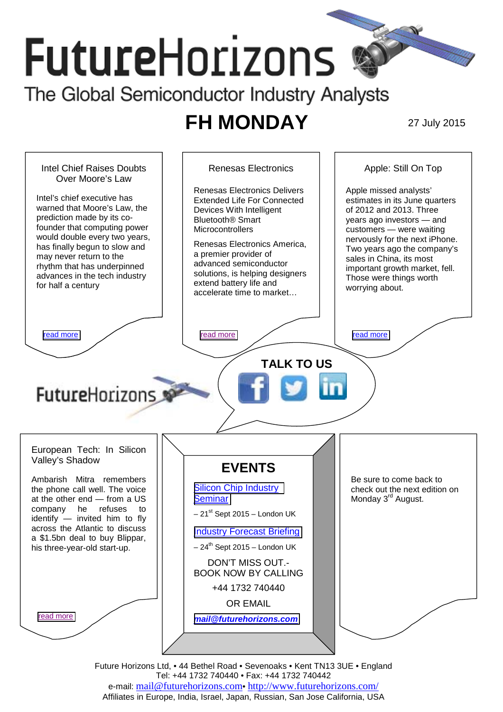# **Future**Horizons The Global Semiconductor Industry Analysts

## **FH MONDAY** 27 July 2015



Future Horizons Ltd, • 44 Bethel Road • Sevenoaks • Kent TN13 3UE • England Tel: +44 1732 740440 • Fax: +44 1732 740442 e-mail: mail@futurehorizons.com• http://www.futurehorizons.com/ Affiliates in Europe, India, Israel, Japan, Russian, San Jose California, USA